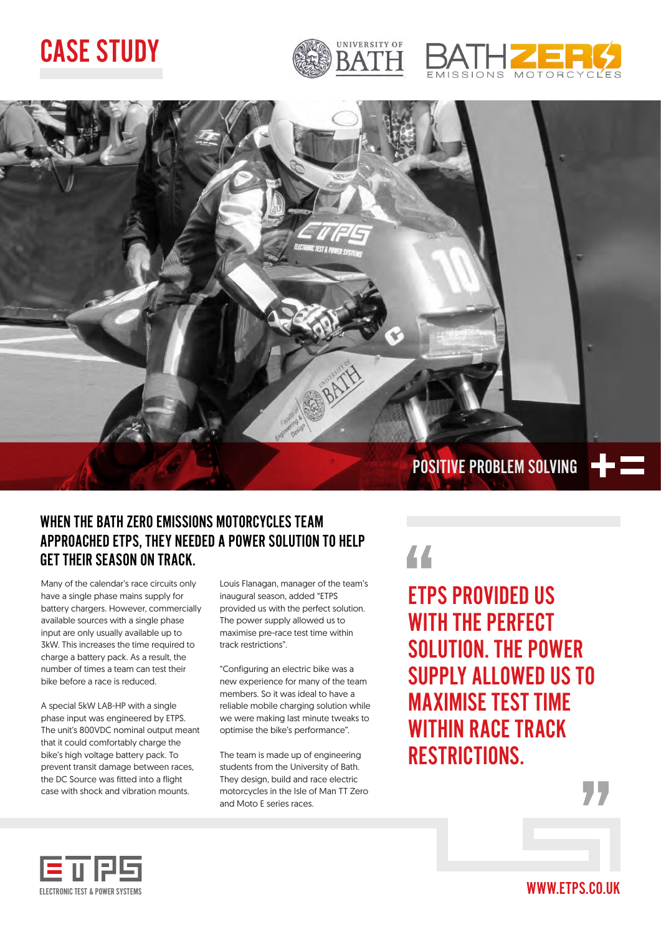## CASE STUDY







### WHEN THE BATH ZERO EMISSIONS MOTORCYCLES TEAM APPROACHED ETPS, THEY NEEDED A POWER SOLUTION TO HELP GET THEIR SEASON ON TRACK.

Many of the calendar's race circuits only have a single phase mains supply for battery chargers. However, commercially available sources with a single phase input are only usually available up to 3kW. This increases the time required to charge a battery pack. As a result, the number of times a team can test their bike before a race is reduced.

A special 5kW LAB-HP with a single phase input was engineered by ETPS. The unit's 800VDC nominal output meant that it could comfortably charge the bike's high voltage battery pack. To prevent transit damage between races, the DC Source was fitted into a flight case with shock and vibration mounts.

Louis Flanagan, manager of the team's inaugural season, added "ETPS provided us with the perfect solution. The power supply allowed us to maximise pre-race test time within track restrictions".

"Configuring an electric bike was a new experience for many of the team members. So it was ideal to have a reliable mobile charging solution while we were making last minute tweaks to optimise the bike's performance".

The team is made up of engineering students from the University of Bath. They design, build and race electric motorcycles in the Isle of Man TT Zero and Moto E series races.



ETPS PROVIDED US WITH THE PERFECT SOLUTION. THE POWER SUPPLY ALLOWED US TO MAXIMISE TEST TIME WITHIN RACE TRACK RESTRICTIONS.